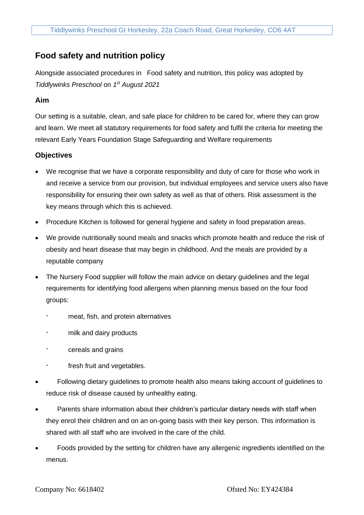# **Food safety and nutrition policy**

Alongside associated procedures in Food safety and nutrition, this policy was adopted by *Tiddlywinks Preschool* on *1 st August 2021*

## **Aim**

Our setting is a suitable, clean, and safe place for children to be cared for, where they can grow and learn. We meet all statutory requirements for food safety and fulfil the criteria for meeting the relevant Early Years Foundation Stage Safeguarding and Welfare requirements

# **Objectives**

- We recognise that we have a corporate responsibility and duty of care for those who work in and receive a service from our provision, but individual employees and service users also have responsibility for ensuring their own safety as well as that of others. Risk assessment is the key means through which this is achieved.
- Procedure Kitchen is followed for general hygiene and safety in food preparation areas.
- We provide nutritionally sound meals and snacks which promote health and reduce the risk of obesity and heart disease that may begin in childhood. And the meals are provided by a reputable company
- The Nursery Food supplier will follow the main advice on dietary guidelines and the legal requirements for identifying food allergens when planning menus based on the four food groups:
	- meat, fish, and protein alternatives
	- milk and dairy products
	- cereals and grains
	- fresh fruit and vegetables.
- Following dietary guidelines to promote health also means taking account of guidelines to reduce risk of disease caused by unhealthy eating.
- Parents share information about their children's particular dietary needs with staff when they enrol their children and on an on-going basis with their key person. This information is shared with all staff who are involved in the care of the child.
- Foods provided by the setting for children have any allergenic ingredients identified on the menus.